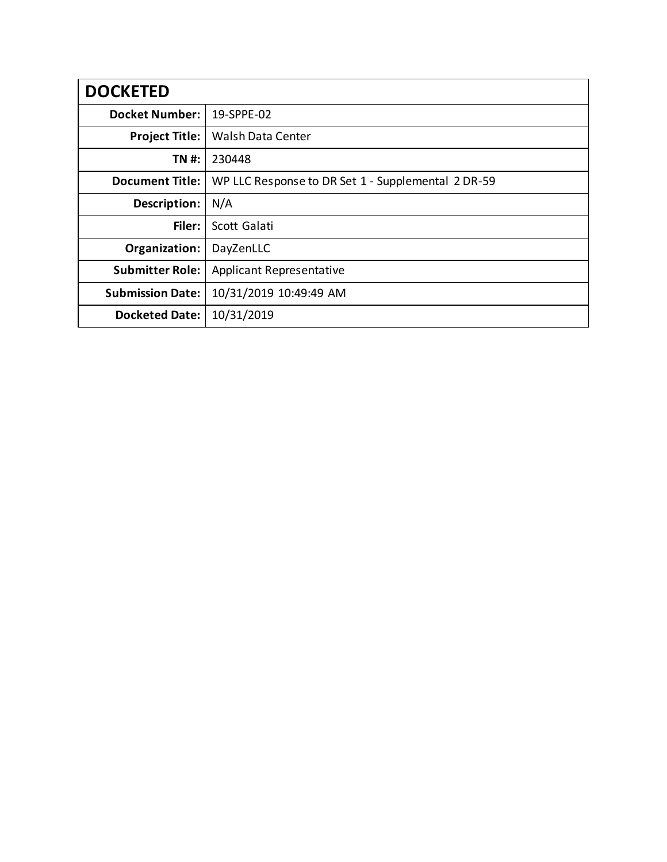| <b>DOCKETED</b>         |                                                    |
|-------------------------|----------------------------------------------------|
| <b>Docket Number:</b>   | 19-SPPE-02                                         |
| <b>Project Title:</b>   | <b>Walsh Data Center</b>                           |
| TN #:                   | 230448                                             |
| <b>Document Title:</b>  | WP LLC Response to DR Set 1 - Supplemental 2 DR-59 |
| Description:            | N/A                                                |
| Filer:                  | Scott Galati                                       |
| Organization:           | DayZenLLC                                          |
| <b>Submitter Role:</b>  | <b>Applicant Representative</b>                    |
| <b>Submission Date:</b> | 10/31/2019 10:49:49 AM                             |
| <b>Docketed Date:</b>   | 10/31/2019                                         |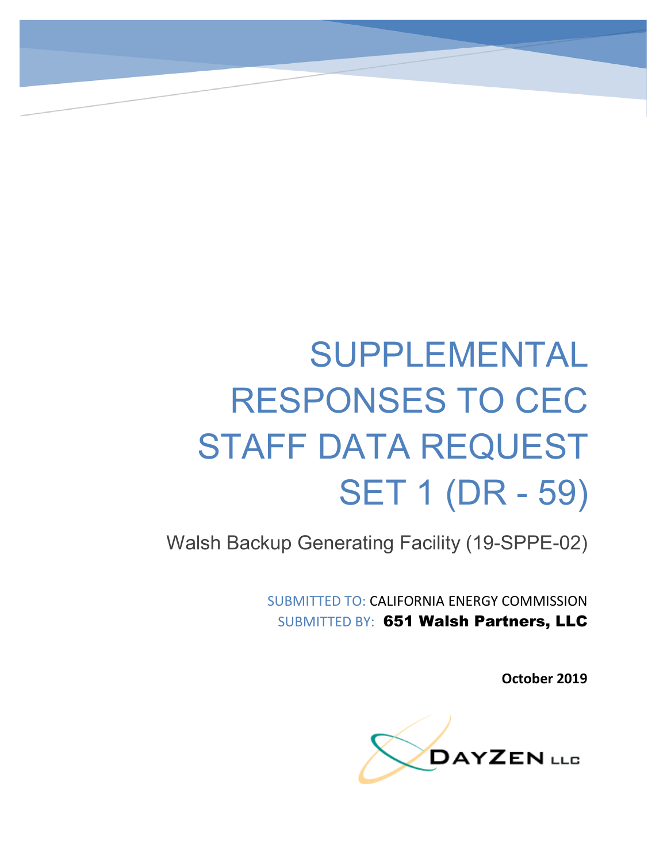# SUPPLEMENTAL RESPONSES TO CEC STAFF DATA REQUEST SET 1 (DR - 59)

Walsh Backup Generating Facility (19-SPPE-02)

SUBMITTED TO: CALIFORNIA ENERGY COMMISSION SUBMITTED BY: 651 Walsh Partners, LLC

**October 2019**